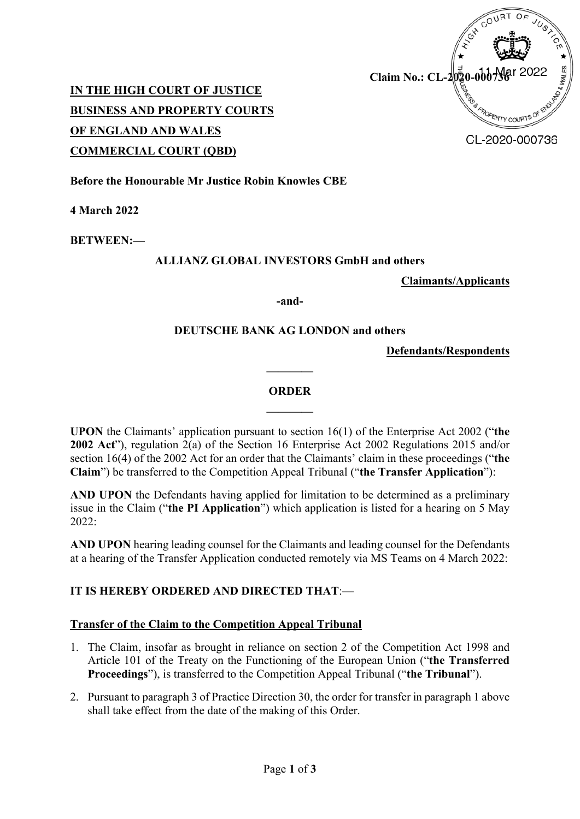

**IN THE HIGH COURT OF JUSTICE BUSINESS AND PROPERTY COURTS OF ENGLAND AND WALES COMMERCIAL COURT (QBD)**

CL-2020-000736

**Before the Honourable Mr Justice Robin Knowles CBE**

**4 March 2022**

**BETWEEN:—**

#### **ALLIANZ GLOBAL INVESTORS GmbH and others**

**Claimants/Applicants**

**-and-**

## **DEUTSCHE BANK AG LONDON and others**

**Defendants/Respondents**

#### **ORDER**

**————**

**————**

**UPON** the Claimants' application pursuant to section 16(1) of the Enterprise Act 2002 ("**the 2002 Act**"), regulation 2(a) of the Section 16 Enterprise Act 2002 Regulations 2015 and/or section 16(4) of the 2002 Act for an order that the Claimants' claim in these proceedings ("**the Claim**") be transferred to the Competition Appeal Tribunal ("**the Transfer Application**"):

**AND UPON** the Defendants having applied for limitation to be determined as a preliminary issue in the Claim ("**the PI Application**") which application is listed for a hearing on 5 May  $2022$ 

**AND UPON** hearing leading counsel for the Claimants and leading counsel for the Defendants at a hearing of the Transfer Application conducted remotely via MS Teams on 4 March 2022:

## **IT IS HEREBY ORDERED AND DIRECTED THAT**:—

## **Transfer of the Claim to the Competition Appeal Tribunal**

- 1. The Claim, insofar as brought in reliance on section 2 of the Competition Act 1998 and Article 101 of the Treaty on the Functioning of the European Union ("**the Transferred Proceedings**"), is transferred to the Competition Appeal Tribunal ("**the Tribunal**").
- 2. Pursuant to paragraph 3 of Practice Direction 30, the order for transfer in paragraph 1 above shall take effect from the date of the making of this Order.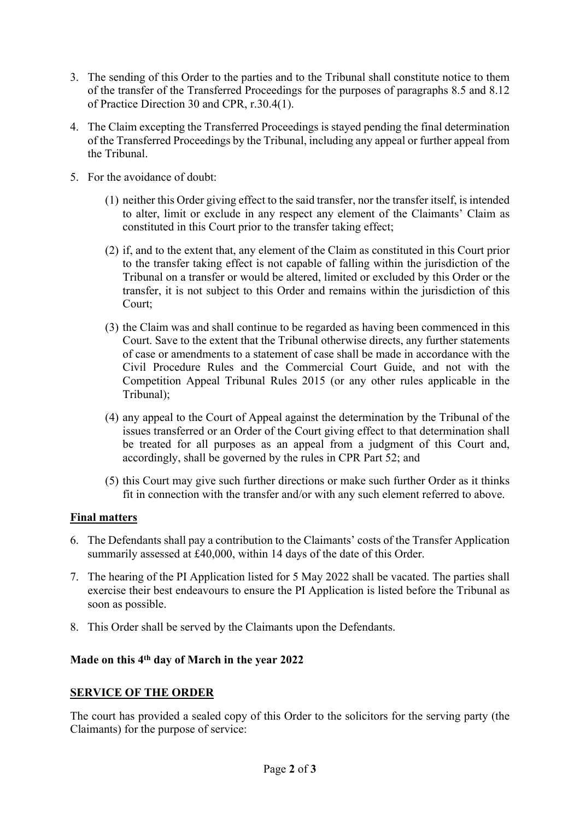- 3. The sending of this Order to the parties and to the Tribunal shall constitute notice to them of the transfer of the Transferred Proceedings for the purposes of paragraphs 8.5 and 8.12 of Practice Direction 30 and CPR, r.30.4(1).
- 4. The Claim excepting the Transferred Proceedings is stayed pending the final determination of the Transferred Proceedings by the Tribunal, including any appeal or further appeal from the Tribunal.
- 5. For the avoidance of doubt:
	- (1) neither this Order giving effect to the said transfer, nor the transfer itself, is intended to alter, limit or exclude in any respect any element of the Claimants' Claim as constituted in this Court prior to the transfer taking effect;
	- (2) if, and to the extent that, any element of the Claim as constituted in this Court prior to the transfer taking effect is not capable of falling within the jurisdiction of the Tribunal on a transfer or would be altered, limited or excluded by this Order or the transfer, it is not subject to this Order and remains within the jurisdiction of this Court;
	- (3) the Claim was and shall continue to be regarded as having been commenced in this Court. Save to the extent that the Tribunal otherwise directs, any further statements of case or amendments to a statement of case shall be made in accordance with the Civil Procedure Rules and the Commercial Court Guide, and not with the Competition Appeal Tribunal Rules 2015 (or any other rules applicable in the Tribunal);
	- (4) any appeal to the Court of Appeal against the determination by the Tribunal of the issues transferred or an Order of the Court giving effect to that determination shall be treated for all purposes as an appeal from a judgment of this Court and, accordingly, shall be governed by the rules in CPR Part 52; and
	- (5) this Court may give such further directions or make such further Order as it thinks fit in connection with the transfer and/or with any such element referred to above.

## **Final matters**

- 6. The Defendants shall pay a contribution to the Claimants' costs of the Transfer Application summarily assessed at £40,000, within 14 days of the date of this Order.
- 7. The hearing of the PI Application listed for 5 May 2022 shall be vacated. The parties shall exercise their best endeavours to ensure the PI Application is listed before the Tribunal as soon as possible.
- 8. This Order shall be served by the Claimants upon the Defendants.

# **Made on this 4th day of March in the year 2022**

## **SERVICE OF THE ORDER**

The court has provided a sealed copy of this Order to the solicitors for the serving party (the Claimants) for the purpose of service: